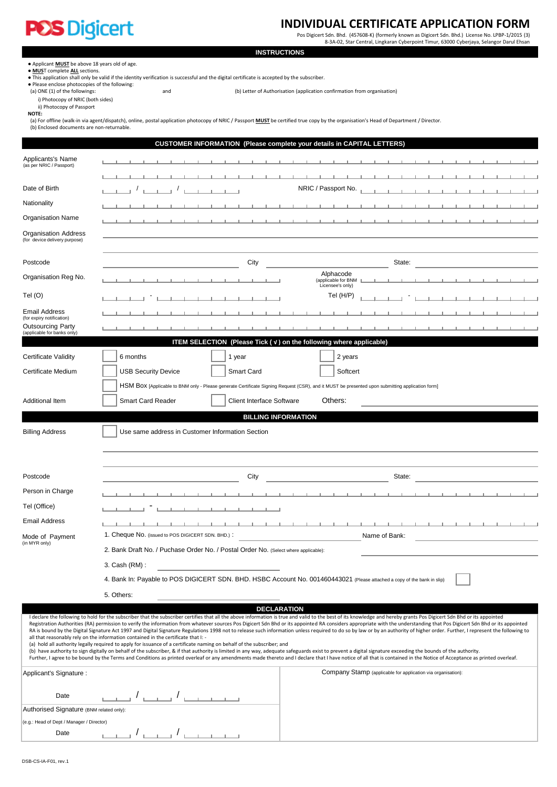# **POS Digicert**

# **INDIVIDUAL CERTIFICATE APPLICATION FORM**

Pos Digicert Sdn. Bhd. (457608-K) (formerly known as Digicert Sdn. Bhd.) License No. LPBP-1/2015 (3) 8-3A-02, Star Central, Lingkaran Cyberpoint Timur, 63000 Cyberjaya, Selangor Darul Ehsan

- Applicant **MUST** be above 18 years old of age.
- 

● <u>MUS</u>T complete <u>ALL</u> sections.<br>● This application shall only be valid if the identity verification is successful and the digital certificate is accepted by the subscriber.

• This application shall drift be valid in the following:<br>• Please enclose photocopies of the following:<br>(a) ONE (1) of the followings:

and (b) Letter of Authorisation (application confirmation from organisation)

- i) Photocopy of NRIC (both sides)
- ii) Photocopy of Passport

**NOTE:**

 (a) For offline (walk-in via agent/dispatch), online, postal application photocopy of NRIC / Passport **MUST** be certified true copy by the organisation's Head of Department / Director. (b) Enclosed documents are non-returnable.

|                                                                                                      | <b>CUSTOMER INFORMATION (Please complete your details in CAPITAL LETTERS)</b>                                                                                                                                |                                                                                                                                                                                                                                                                                                                                                                                                                                                                                                                                                                                                                                                                                                                                                                                                                                                                                                                                                                                                                                                                                                                                 |  |
|------------------------------------------------------------------------------------------------------|--------------------------------------------------------------------------------------------------------------------------------------------------------------------------------------------------------------|---------------------------------------------------------------------------------------------------------------------------------------------------------------------------------------------------------------------------------------------------------------------------------------------------------------------------------------------------------------------------------------------------------------------------------------------------------------------------------------------------------------------------------------------------------------------------------------------------------------------------------------------------------------------------------------------------------------------------------------------------------------------------------------------------------------------------------------------------------------------------------------------------------------------------------------------------------------------------------------------------------------------------------------------------------------------------------------------------------------------------------|--|
| Applicants's Name<br>(as per NRIC / Passport)                                                        |                                                                                                                                                                                                              |                                                                                                                                                                                                                                                                                                                                                                                                                                                                                                                                                                                                                                                                                                                                                                                                                                                                                                                                                                                                                                                                                                                                 |  |
|                                                                                                      |                                                                                                                                                                                                              |                                                                                                                                                                                                                                                                                                                                                                                                                                                                                                                                                                                                                                                                                                                                                                                                                                                                                                                                                                                                                                                                                                                                 |  |
| Date of Birth                                                                                        | <b>Contract Contract Contract</b>                                                                                                                                                                            | NRIC / Passport No.                                                                                                                                                                                                                                                                                                                                                                                                                                                                                                                                                                                                                                                                                                                                                                                                                                                                                                                                                                                                                                                                                                             |  |
| Nationality                                                                                          |                                                                                                                                                                                                              |                                                                                                                                                                                                                                                                                                                                                                                                                                                                                                                                                                                                                                                                                                                                                                                                                                                                                                                                                                                                                                                                                                                                 |  |
| <b>Organisation Name</b>                                                                             |                                                                                                                                                                                                              |                                                                                                                                                                                                                                                                                                                                                                                                                                                                                                                                                                                                                                                                                                                                                                                                                                                                                                                                                                                                                                                                                                                                 |  |
| <b>Organisation Address</b><br>(for device delivery purpose)                                         |                                                                                                                                                                                                              |                                                                                                                                                                                                                                                                                                                                                                                                                                                                                                                                                                                                                                                                                                                                                                                                                                                                                                                                                                                                                                                                                                                                 |  |
| Postcode                                                                                             | City                                                                                                                                                                                                         | State:                                                                                                                                                                                                                                                                                                                                                                                                                                                                                                                                                                                                                                                                                                                                                                                                                                                                                                                                                                                                                                                                                                                          |  |
| Organisation Reg No.                                                                                 |                                                                                                                                                                                                              | Alphacode<br>(applicable for BNM L<br>Licensee's only)                                                                                                                                                                                                                                                                                                                                                                                                                                                                                                                                                                                                                                                                                                                                                                                                                                                                                                                                                                                                                                                                          |  |
| Tel (O)                                                                                              |                                                                                                                                                                                                              | Tel $(H/P)$                                                                                                                                                                                                                                                                                                                                                                                                                                                                                                                                                                                                                                                                                                                                                                                                                                                                                                                                                                                                                                                                                                                     |  |
| <b>Email Address</b><br>(for expiry notification)                                                    |                                                                                                                                                                                                              |                                                                                                                                                                                                                                                                                                                                                                                                                                                                                                                                                                                                                                                                                                                                                                                                                                                                                                                                                                                                                                                                                                                                 |  |
| <b>Outsourcing Party</b><br>(applicable for banks only)                                              |                                                                                                                                                                                                              |                                                                                                                                                                                                                                                                                                                                                                                                                                                                                                                                                                                                                                                                                                                                                                                                                                                                                                                                                                                                                                                                                                                                 |  |
|                                                                                                      | ITEM SELECTION (Please Tick (v) on the following where applicable)                                                                                                                                           |                                                                                                                                                                                                                                                                                                                                                                                                                                                                                                                                                                                                                                                                                                                                                                                                                                                                                                                                                                                                                                                                                                                                 |  |
| <b>Certificate Validity</b>                                                                          | 6 months<br>1 year                                                                                                                                                                                           | 2 years                                                                                                                                                                                                                                                                                                                                                                                                                                                                                                                                                                                                                                                                                                                                                                                                                                                                                                                                                                                                                                                                                                                         |  |
| Certificate Medium                                                                                   | <b>USB Security Device</b><br><b>Smart Card</b>                                                                                                                                                              | Softcert                                                                                                                                                                                                                                                                                                                                                                                                                                                                                                                                                                                                                                                                                                                                                                                                                                                                                                                                                                                                                                                                                                                        |  |
|                                                                                                      | HSM BOX [Applicable to BNM only - Please generate Certificate Signing Request (CSR), and it MUST be presented upon submitting application form]                                                              |                                                                                                                                                                                                                                                                                                                                                                                                                                                                                                                                                                                                                                                                                                                                                                                                                                                                                                                                                                                                                                                                                                                                 |  |
| Additional Item                                                                                      | Smart Card Reader<br><b>Client Interface Software</b>                                                                                                                                                        | Others:                                                                                                                                                                                                                                                                                                                                                                                                                                                                                                                                                                                                                                                                                                                                                                                                                                                                                                                                                                                                                                                                                                                         |  |
|                                                                                                      | <b>BILLING INFORMATION</b>                                                                                                                                                                                   |                                                                                                                                                                                                                                                                                                                                                                                                                                                                                                                                                                                                                                                                                                                                                                                                                                                                                                                                                                                                                                                                                                                                 |  |
| <b>Billing Address</b>                                                                               | Use same address in Customer Information Section                                                                                                                                                             |                                                                                                                                                                                                                                                                                                                                                                                                                                                                                                                                                                                                                                                                                                                                                                                                                                                                                                                                                                                                                                                                                                                                 |  |
| Postcode                                                                                             | City                                                                                                                                                                                                         | State:                                                                                                                                                                                                                                                                                                                                                                                                                                                                                                                                                                                                                                                                                                                                                                                                                                                                                                                                                                                                                                                                                                                          |  |
| Person in Charge                                                                                     |                                                                                                                                                                                                              |                                                                                                                                                                                                                                                                                                                                                                                                                                                                                                                                                                                                                                                                                                                                                                                                                                                                                                                                                                                                                                                                                                                                 |  |
| Tel (Office)                                                                                         |                                                                                                                                                                                                              |                                                                                                                                                                                                                                                                                                                                                                                                                                                                                                                                                                                                                                                                                                                                                                                                                                                                                                                                                                                                                                                                                                                                 |  |
| <b>Email Address</b>                                                                                 |                                                                                                                                                                                                              |                                                                                                                                                                                                                                                                                                                                                                                                                                                                                                                                                                                                                                                                                                                                                                                                                                                                                                                                                                                                                                                                                                                                 |  |
| Mode of Payment                                                                                      | 1. Cheque No. (issued to POS DIGICERT SDN. BHD.):                                                                                                                                                            | Name of Bank:                                                                                                                                                                                                                                                                                                                                                                                                                                                                                                                                                                                                                                                                                                                                                                                                                                                                                                                                                                                                                                                                                                                   |  |
| (in MYR only)<br>2. Bank Draft No. / Puchase Order No. / Postal Order No. (Select where applicable): |                                                                                                                                                                                                              |                                                                                                                                                                                                                                                                                                                                                                                                                                                                                                                                                                                                                                                                                                                                                                                                                                                                                                                                                                                                                                                                                                                                 |  |
|                                                                                                      | 3. Cash (RM) :                                                                                                                                                                                               |                                                                                                                                                                                                                                                                                                                                                                                                                                                                                                                                                                                                                                                                                                                                                                                                                                                                                                                                                                                                                                                                                                                                 |  |
|                                                                                                      | 4. Bank In: Payable to POS DIGICERT SDN. BHD. HSBC Account No. 001460443021 (Please attached a copy of the bank in slip)                                                                                     |                                                                                                                                                                                                                                                                                                                                                                                                                                                                                                                                                                                                                                                                                                                                                                                                                                                                                                                                                                                                                                                                                                                                 |  |
|                                                                                                      | 5. Others:                                                                                                                                                                                                   |                                                                                                                                                                                                                                                                                                                                                                                                                                                                                                                                                                                                                                                                                                                                                                                                                                                                                                                                                                                                                                                                                                                                 |  |
|                                                                                                      | <b>DECLARATION</b>                                                                                                                                                                                           |                                                                                                                                                                                                                                                                                                                                                                                                                                                                                                                                                                                                                                                                                                                                                                                                                                                                                                                                                                                                                                                                                                                                 |  |
|                                                                                                      | all that reasonably rely on the information contained in the certificate that I: -<br>(a) hold all authority legally required to apply for issuance of a certificate naming on behalf of the subscriber; and | I declare the following to hold for the subscriber that the subscriber certifies that all the above information is true and valid to the best of its knowledge and hereby grants Pos Digicert Sdn Bhd or its appointed<br>Registration Authorities (RA) permission to verify the information from whatever sources Pos Digicert Sdn Bhd or its appointed RA considers appropriate with the understanding that Pos Digicert Sdn Bhd or its appointed<br>RA is bound by the Digital Signature Act 1997 and Digital Signature Regulations 1998 not to release such information unless required to do so by law or by an authority of higher order. Further, I represent the following to<br>(b) have authority to sign digitally on behalf of the subscriber, & if that authority is limited in any way, adequate safeguards exist to prevent a digital signature exceeding the bounds of the authority.<br>Further, I agree to be bound by the Terms and Conditions as printed overleaf or any amendments made thereto and I declare that I have notice of all that is contained in the Notice of Acceptance as printed overleaf. |  |
| Applicant's Signature :                                                                              |                                                                                                                                                                                                              | Company Stamp (applicable for application via organisation):                                                                                                                                                                                                                                                                                                                                                                                                                                                                                                                                                                                                                                                                                                                                                                                                                                                                                                                                                                                                                                                                    |  |
| Date                                                                                                 |                                                                                                                                                                                                              |                                                                                                                                                                                                                                                                                                                                                                                                                                                                                                                                                                                                                                                                                                                                                                                                                                                                                                                                                                                                                                                                                                                                 |  |
| Authorised Signature (BNM related only):                                                             |                                                                                                                                                                                                              |                                                                                                                                                                                                                                                                                                                                                                                                                                                                                                                                                                                                                                                                                                                                                                                                                                                                                                                                                                                                                                                                                                                                 |  |
| (e.g.: Head of Dept / Manager / Director)                                                            |                                                                                                                                                                                                              |                                                                                                                                                                                                                                                                                                                                                                                                                                                                                                                                                                                                                                                                                                                                                                                                                                                                                                                                                                                                                                                                                                                                 |  |

Date  $\begin{array}{|c|c|c|c|c|c|}\n\hline\n\text{Date} & \text{true} & \text{true} & \text{true} & \text{true} & \text{true} & \text{true} & \text{true} & \text{true} & \text{true} & \text{true} & \text{true} & \text{true} & \text{true} & \text{true} & \text{true} & \text{true} & \text{true} & \text{true} & \text{true} & \text{true} & \text{true} & \text{true} & \text{true} & \text{true} & \text{true} & \text{true} & \text{true} & \text{true} & \text{true} & \text{true} & \text{true}$